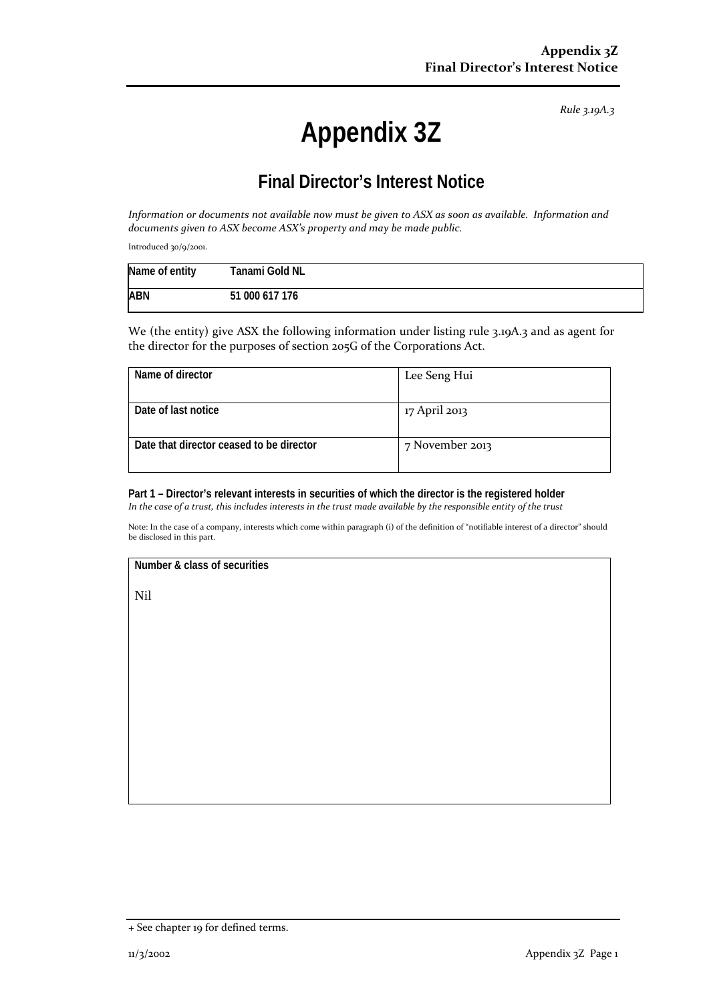*Rule 3.19A.3*

## **Appendix 3Z**

## **Final Director's Interest Notice**

*Information or documents not available now must be given to ASX as soon as available. Information and documents given to ASX become ASX's property and may be made public.*

Introduced 30/9/2001.

| Name of entity | Tanami Gold NL |
|----------------|----------------|
| <b>ABN</b>     | 51 000 617 176 |

We (the entity) give ASX the following information under listing rule 3.19A.3 and as agent for the director for the purposes of section 205G of the Corporations Act.

| Name of director                         | Lee Seng Hui    |
|------------------------------------------|-----------------|
| Date of last notice                      | 17 April 2013   |
| Date that director ceased to be director | 7 November 2013 |

**Part 1 – Director's relevant interests in securities of which the director is the registered holder** *In the case of a trust, this includes interests in the trust made available by the responsible entity of the trust*

Note: In the case of a company, interests which come within paragraph (i) of the definition of "notifiable interest of a director" should be disclosed in this part.

**Number & class of securities**

Nil

<sup>+</sup> See chapter 19 for defined terms.